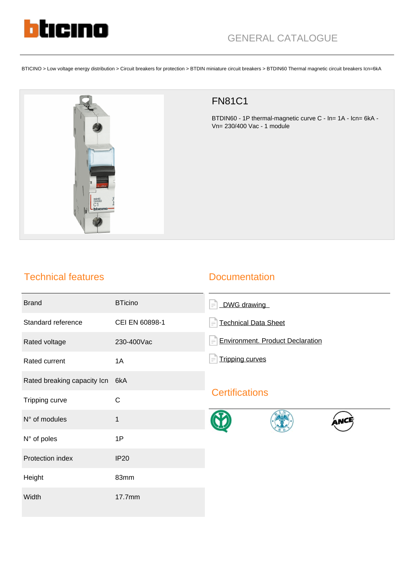

BTICINO > Low voltage energy distribution > Circuit breakers for protection > BTDIN miniature circuit breakers > BTDIN60 Thermal magnetic circuit breakers Icn=6kA



## FN81C1

BTDIN60 - 1P thermal-magnetic curve C - In= 1A - Icn= 6kA - Vn= 230/400 Vac - 1 module

## Technical features

## **Documentation**

| <b>Brand</b>                | <b>BTicino</b> | DWG drawing<br>$=$                      |
|-----------------------------|----------------|-----------------------------------------|
| Standard reference          | CEI EN 60898-1 | <b>Technical Data Sheet</b>             |
| Rated voltage               | 230-400Vac     | <b>Environment. Product Declaration</b> |
| Rated current               | 1A             | <b>Tripping curves</b>                  |
| Rated breaking capacity Icn | 6kA            |                                         |
| Tripping curve              | $\mathsf{C}$   | <b>Certifications</b>                   |
| N° of modules               | $\mathbf{1}$   |                                         |
| N° of poles                 | 1P             |                                         |
| Protection index            | <b>IP20</b>    |                                         |
| Height                      | 83mm           |                                         |
| Width                       | 17.7mm         |                                         |